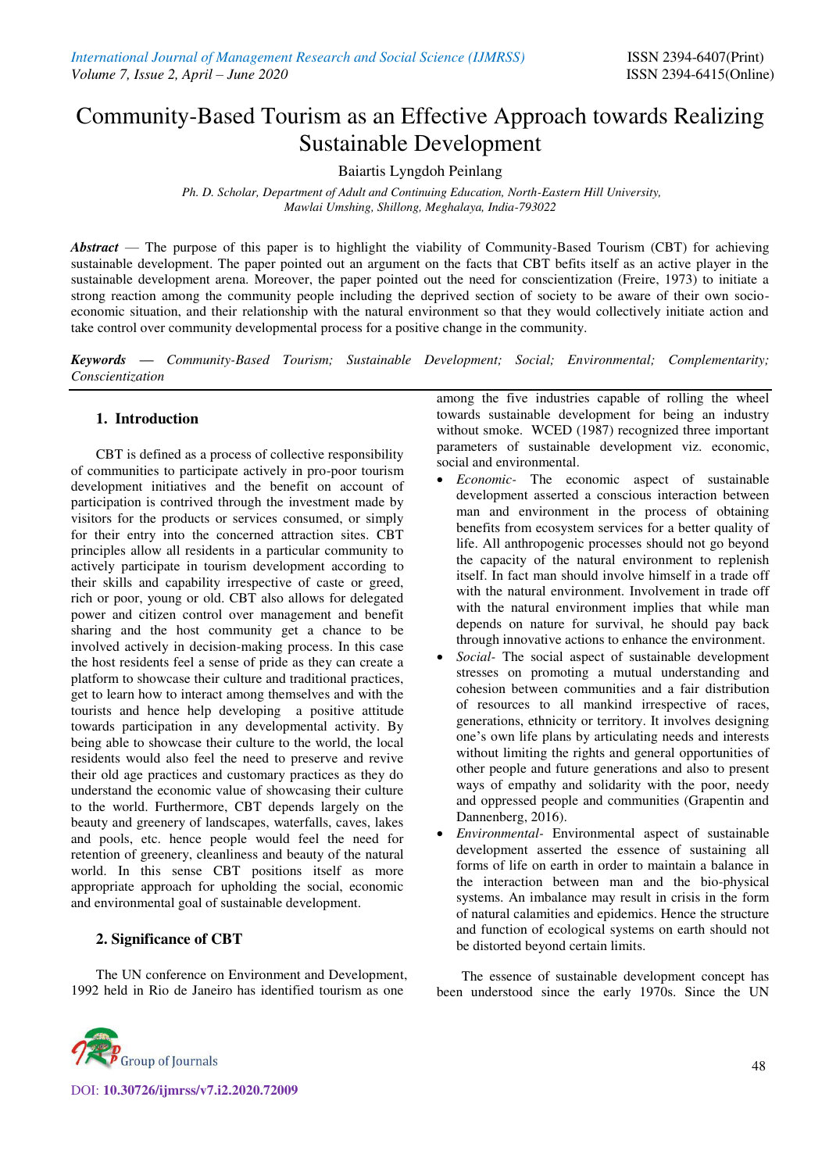# Community-Based Tourism as an Effective Approach towards Realizing Sustainable Development

Baiartis Lyngdoh Peinlang

*Ph. D. Scholar, Department of Adult and Continuing Education, North-Eastern Hill University, Mawlai Umshing, Shillong, Meghalaya, India-793022* 

*Abstract* — The purpose of this paper is to highlight the viability of Community-Based Tourism (CBT) for achieving sustainable development. The paper pointed out an argument on the facts that CBT befits itself as an active player in the sustainable development arena. Moreover, the paper pointed out the need for conscientization (Freire, 1973) to initiate a strong reaction among the community people including the deprived section of society to be aware of their own socioeconomic situation, and their relationship with the natural environment so that they would collectively initiate action and take control over community developmental process for a positive change in the community.

*Keywords — Community-Based Tourism; Sustainable Development; Social; Environmental; Complementarity; Conscientization*

### **1. Introduction**

CBT is defined as a process of collective responsibility of communities to participate actively in pro-poor tourism development initiatives and the benefit on account of participation is contrived through the investment made by visitors for the products or services consumed, or simply for their entry into the concerned attraction sites. CBT principles allow all residents in a particular community to actively participate in tourism development according to their skills and capability irrespective of caste or greed, rich or poor, young or old. CBT also allows for delegated power and citizen control over management and benefit sharing and the host community get a chance to be involved actively in decision-making process. In this case the host residents feel a sense of pride as they can create a platform to showcase their culture and traditional practices, get to learn how to interact among themselves and with the tourists and hence help developing a positive attitude towards participation in any developmental activity. By being able to showcase their culture to the world, the local residents would also feel the need to preserve and revive their old age practices and customary practices as they do understand the economic value of showcasing their culture to the world. Furthermore, CBT depends largely on the beauty and greenery of landscapes, waterfalls, caves, lakes and pools, etc. hence people would feel the need for retention of greenery, cleanliness and beauty of the natural world. In this sense CBT positions itself as more appropriate approach for upholding the social, economic and environmental goal of sustainable development.

#### **2. Significance of CBT**

The UN conference on Environment and Development, 1992 held in Rio de Janeiro has identified tourism as one

among the five industries capable of rolling the wheel towards sustainable development for being an industry without smoke. WCED (1987) recognized three important parameters of sustainable development viz. economic, social and environmental.

- *Economic-* The economic aspect of sustainable development asserted a conscious interaction between man and environment in the process of obtaining benefits from ecosystem services for a better quality of life. All anthropogenic processes should not go beyond the capacity of the natural environment to replenish itself. In fact man should involve himself in a trade off with the natural environment. Involvement in trade off with the natural environment implies that while man depends on nature for survival, he should pay back through innovative actions to enhance the environment.
- *Social-* The social aspect of sustainable development stresses on promoting a mutual understanding and cohesion between communities and a fair distribution of resources to all mankind irrespective of races, generations, ethnicity or territory. It involves designing one's own life plans by articulating needs and interests without limiting the rights and general opportunities of other people and future generations and also to present ways of empathy and solidarity with the poor, needy and oppressed people and communities (Grapentin and Dannenberg, 2016).
- *Environmental-* Environmental aspect of sustainable development asserted the essence of sustaining all forms of life on earth in order to maintain a balance in the interaction between man and the bio-physical systems. An imbalance may result in crisis in the form of natural calamities and epidemics. Hence the structure and function of ecological systems on earth should not be distorted beyond certain limits.

The essence of sustainable development concept has been understood since the early 1970s. Since the UN



DOI: **10.30726/ijmrss/v7.i2.2020.72009**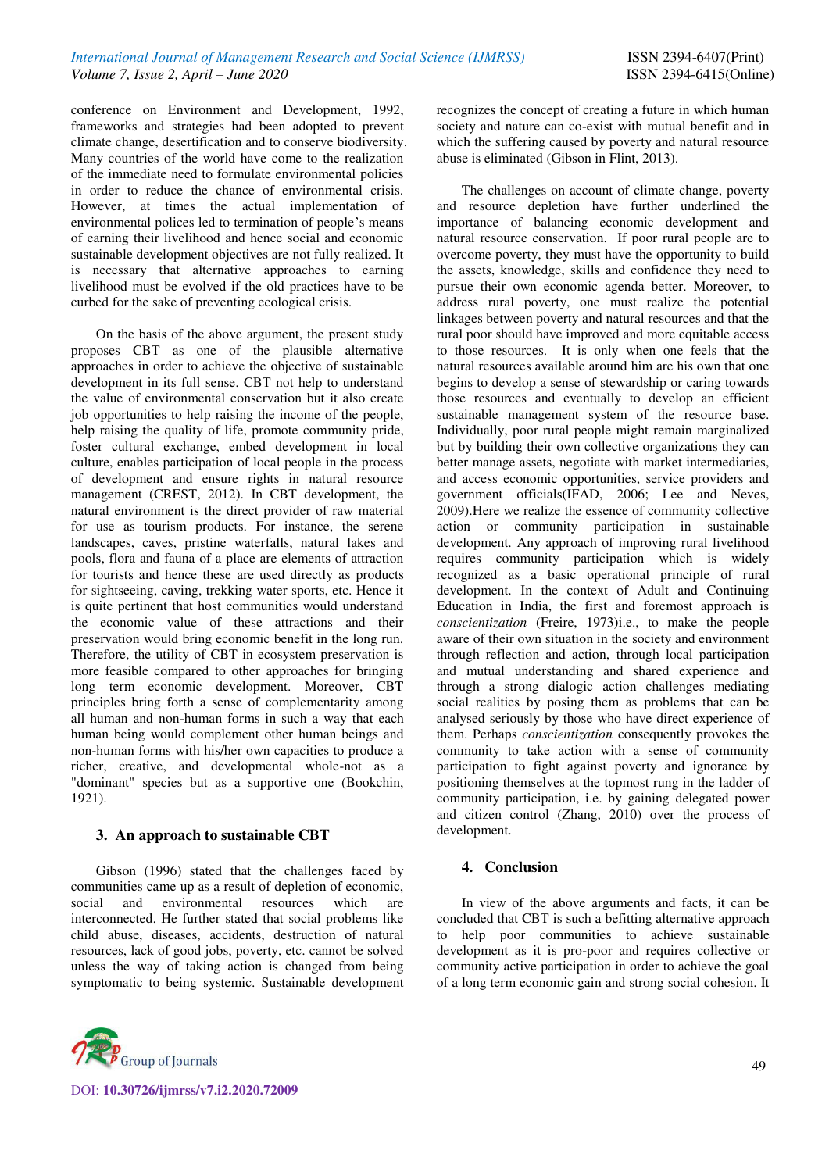conference on Environment and Development, 1992, frameworks and strategies had been adopted to prevent climate change, desertification and to conserve biodiversity. Many countries of the world have come to the realization of the immediate need to formulate environmental policies in order to reduce the chance of environmental crisis. However, at times the actual implementation of environmental polices led to termination of people's means of earning their livelihood and hence social and economic sustainable development objectives are not fully realized. It is necessary that alternative approaches to earning livelihood must be evolved if the old practices have to be curbed for the sake of preventing ecological crisis.

On the basis of the above argument, the present study proposes CBT as one of the plausible alternative approaches in order to achieve the objective of sustainable development in its full sense. CBT not help to understand the value of environmental conservation but it also create job opportunities to help raising the income of the people, help raising the quality of life, promote community pride, foster cultural exchange, embed development in local culture, enables participation of local people in the process of development and ensure rights in natural resource management (CREST, 2012). In CBT development, the natural environment is the direct provider of raw material for use as tourism products. For instance, the serene landscapes, caves, pristine waterfalls, natural lakes and pools, flora and fauna of a place are elements of attraction for tourists and hence these are used directly as products for sightseeing, caving, trekking water sports, etc. Hence it is quite pertinent that host communities would understand the economic value of these attractions and their preservation would bring economic benefit in the long run. Therefore, the utility of CBT in ecosystem preservation is more feasible compared to other approaches for bringing long term economic development. Moreover, CBT principles bring forth a sense of complementarity among all human and non-human forms in such a way that each human being would complement other human beings and non-human forms with his/her own capacities to produce a richer, creative, and developmental whole-not as a "dominant" species but as a supportive one (Bookchin, 1921).

#### **3. An approach to sustainable CBT**

Gibson (1996) stated that the challenges faced by communities came up as a result of depletion of economic, social and environmental resources which are interconnected. He further stated that social problems like child abuse, diseases, accidents, destruction of natural resources, lack of good jobs, poverty, etc. cannot be solved unless the way of taking action is changed from being symptomatic to being systemic. Sustainable development



recognizes the concept of creating a future in which human society and nature can co-exist with mutual benefit and in which the suffering caused by poverty and natural resource abuse is eliminated (Gibson in Flint, 2013).

The challenges on account of climate change, poverty and resource depletion have further underlined the importance of balancing economic development and natural resource conservation. If poor rural people are to overcome poverty, they must have the opportunity to build the assets, knowledge, skills and confidence they need to pursue their own economic agenda better. Moreover, to address rural poverty, one must realize the potential linkages between poverty and natural resources and that the rural poor should have improved and more equitable access to those resources. It is only when one feels that the natural resources available around him are his own that one begins to develop a sense of stewardship or caring towards those resources and eventually to develop an efficient sustainable management system of the resource base. Individually, poor rural people might remain marginalized but by building their own collective organizations they can better manage assets, negotiate with market intermediaries, and access economic opportunities, service providers and government officials(IFAD, 2006; Lee and Neves, 2009).Here we realize the essence of community collective action or community participation in sustainable development. Any approach of improving rural livelihood requires community participation which is widely recognized as a basic operational principle of rural development. In the context of Adult and Continuing Education in India, the first and foremost approach is *conscientization* (Freire, 1973)i.e., to make the people aware of their own situation in the society and environment through reflection and action, through local participation and mutual understanding and shared experience and through a strong dialogic action challenges mediating social realities by posing them as problems that can be analysed seriously by those who have direct experience of them. Perhaps *conscientization* consequently provokes the community to take action with a sense of community participation to fight against poverty and ignorance by positioning themselves at the topmost rung in the ladder of community participation, i.e. by gaining delegated power and citizen control (Zhang, 2010) over the process of development.

## **4. Conclusion**

In view of the above arguments and facts, it can be concluded that CBT is such a befitting alternative approach to help poor communities to achieve sustainable development as it is pro-poor and requires collective or community active participation in order to achieve the goal of a long term economic gain and strong social cohesion. It